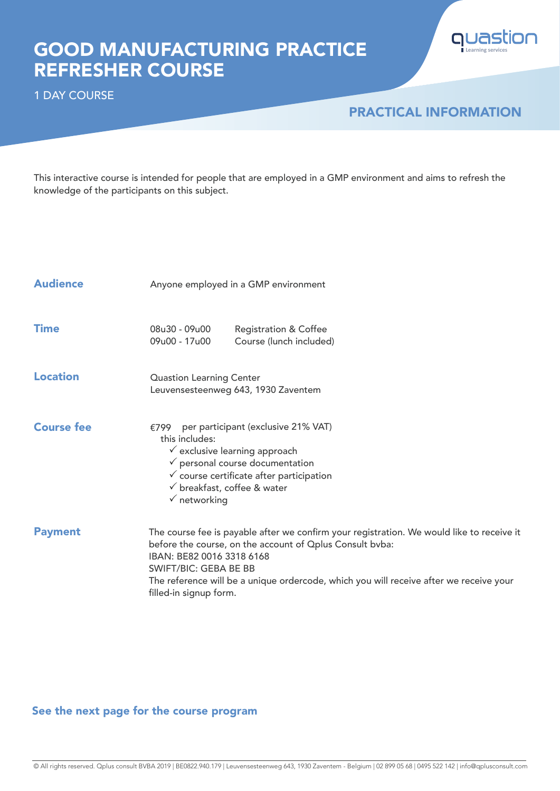# GOOD MANUFACTURING PRACTICE REFRESHER COURSE



1 DAY COURSE

## PRACTICAL INFORMATION

This interactive course is intended for people that are employed in a GMP environment and aims to refresh the knowledge of the participants on this subject.

| <b>Audience</b>   | Anyone employed in a GMP environment                                                                                                                                                                                                                                                                                                   |
|-------------------|----------------------------------------------------------------------------------------------------------------------------------------------------------------------------------------------------------------------------------------------------------------------------------------------------------------------------------------|
| <b>Time</b>       | 08u30 - 09u00<br><b>Registration &amp; Coffee</b><br>09u00 - 17u00<br>Course (lunch included)                                                                                                                                                                                                                                          |
| <b>Location</b>   | <b>Quastion Learning Center</b><br>Leuvensesteenweg 643, 1930 Zaventem                                                                                                                                                                                                                                                                 |
| <b>Course fee</b> | per participant (exclusive 21% VAT)<br>€799<br>this includes:<br>$\checkmark$ exclusive learning approach<br>$\checkmark$ personal course documentation<br>$\checkmark$ course certificate after participation<br>$\checkmark$ breakfast, coffee & water<br>$\checkmark$ networking                                                    |
| <b>Payment</b>    | The course fee is payable after we confirm your registration. We would like to receive it<br>before the course, on the account of Oplus Consult bvba:<br>IBAN: BE82 0016 3318 6168<br><b>SWIFT/BIC: GEBA BE BB</b><br>The reference will be a unique ordercode, which you will receive after we receive your<br>filled-in signup form. |

### See the next page for the course program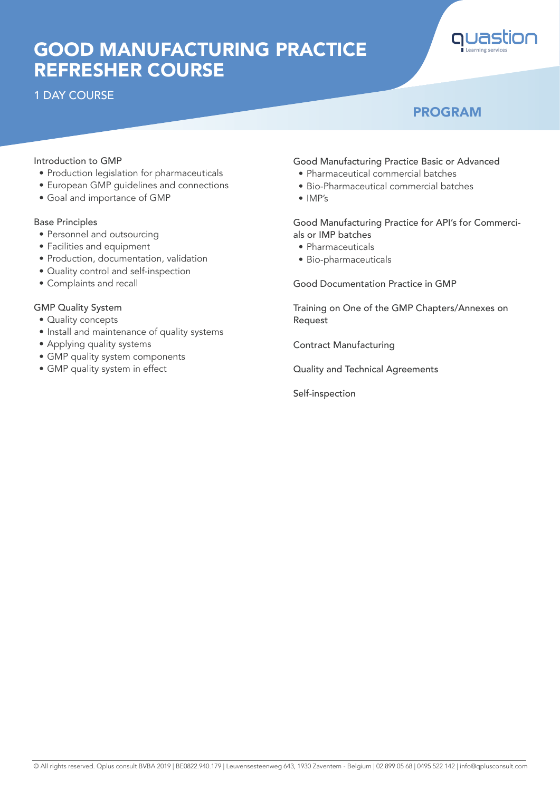# GOOD MANUFACTURING PRACTICE REFRESHER COURSE

## 1 DAY COURSE



## PROGRAM

#### Introduction to GMP

- Production legislation for pharmaceuticals
- European GMP guidelines and connections
- Goal and importance of GMP

#### Base Principles

- Personnel and outsourcing
- Facilities and equipment
- Production, documentation, validation
- Quality control and self-inspection
- Complaints and recall

#### GMP Quality System

- Quality concepts
- Install and maintenance of quality systems
- Applying quality systems
- GMP quality system components
- GMP quality system in effect

#### Good Manufacturing Practice Basic or Advanced

- Pharmaceutical commercial batches
- Bio-Pharmaceutical commercial batches
- IMP's

#### Good Manufacturing Practice for API's for Commercials or IMP batches

- Pharmaceuticals
- Bio-pharmaceuticals

Good Documentation Practice in GMP

Training on One of the GMP Chapters/Annexes on Request

Contract Manufacturing

Quality and Technical Agreements

Self-inspection